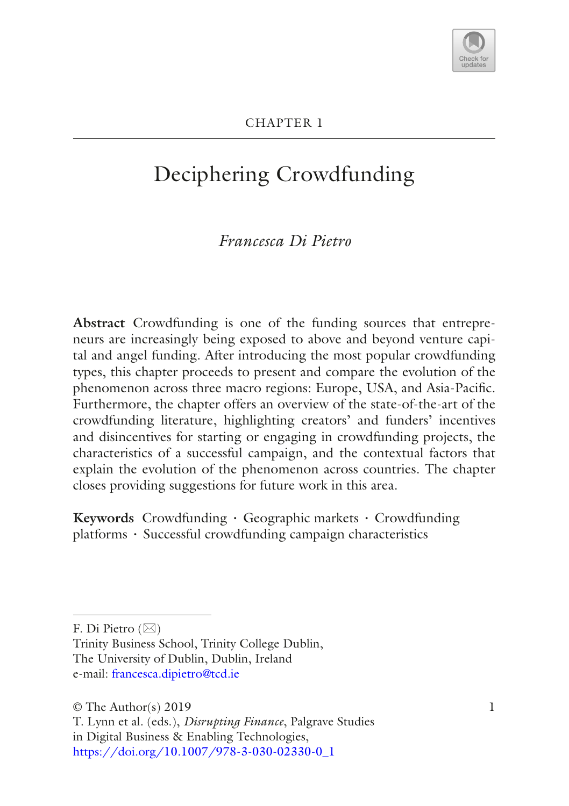

# Deciphering Crowdfunding

# *Francesca Di Pietro*

**Abstract** Crowdfunding is one of the funding sources that entrepreneurs are increasingly being exposed to above and beyond venture capital and angel funding. After introducing the most popular crowdfunding types, this chapter proceeds to present and compare the evolution of the phenomenon across three macro regions: Europe, USA, and Asia-Pacifc. Furthermore, the chapter offers an overview of the state-of-the-art of the crowdfunding literature, highlighting creators' and funders' incentives and disincentives for starting or engaging in crowdfunding projects, the characteristics of a successful campaign, and the contextual factors that explain the evolution of the phenomenon across countries. The chapter closes providing suggestions for future work in this area.

**Keywords** Crowdfunding · Geographic markets · Crowdfunding platforms · Successful crowdfunding campaign characteristics

F. Di Pietro  $(\boxtimes)$ 

Trinity Business School, Trinity College Dublin, The University of Dublin, Dublin, Ireland

e-mail: francesca.dipietro@tcd.ie

<sup>©</sup> The Author(s) 2019

T. Lynn et al. (eds.), *Disrupting Finance*, Palgrave Studies in Digital Business & Enabling Technologies, [https://doi.org/10.1007/978-3-030-02330-0\\_1](https://doi.org/10.1007/978-3-030-02330-0_1)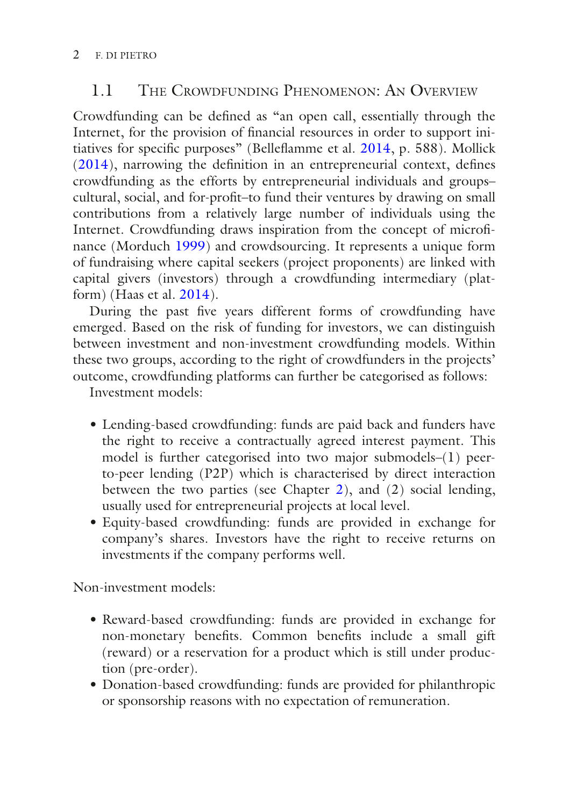# 1.1 The Crowdfunding Phenomenon: An Overview

Crowdfunding can be defned as "an open call, essentially through the Internet, for the provision of fnancial resources in order to support initiatives for specifc purposes" (Bellefamme et al. [2014](#page-11-0), p. 588). Mollick ([2014](#page-12-0)), narrowing the defnition in an entrepreneurial context, defnes crowdfunding as the efforts by entrepreneurial individuals and groups– cultural, social, and for-proft–to fund their ventures by drawing on small contributions from a relatively large number of individuals using the Internet. Crowdfunding draws inspiration from the concept of microfnance (Morduch [1999\)](#page-12-1) and crowdsourcing. It represents a unique form of fundraising where capital seekers (project proponents) are linked with capital givers (investors) through a crowdfunding intermediary (platform) (Haas et al. [2014\)](#page-12-2).

During the past fve years different forms of crowdfunding have emerged. Based on the risk of funding for investors, we can distinguish between investment and non-investment crowdfunding models. Within these two groups, according to the right of crowdfunders in the projects' outcome, crowdfunding platforms can further be categorised as follows:

Investment models:

- Lending-based crowdfunding: funds are paid back and funders have the right to receive a contractually agreed interest payment. This model is further categorised into two major submodels–(1) peerto-peer lending (P2P) which is characterised by direct interaction between the two parties (see Chapter [2](http://dx.doi.org/10.1007/978-3-030-02330-0_2)), and (2) social lending, usually used for entrepreneurial projects at local level.
- Equity-based crowdfunding: funds are provided in exchange for company's shares. Investors have the right to receive returns on investments if the company performs well.

Non-investment models:

- Reward-based crowdfunding: funds are provided in exchange for non-monetary benefts. Common benefts include a small gift (reward) or a reservation for a product which is still under production (pre-order).
- Donation-based crowdfunding: funds are provided for philanthropic or sponsorship reasons with no expectation of remuneration.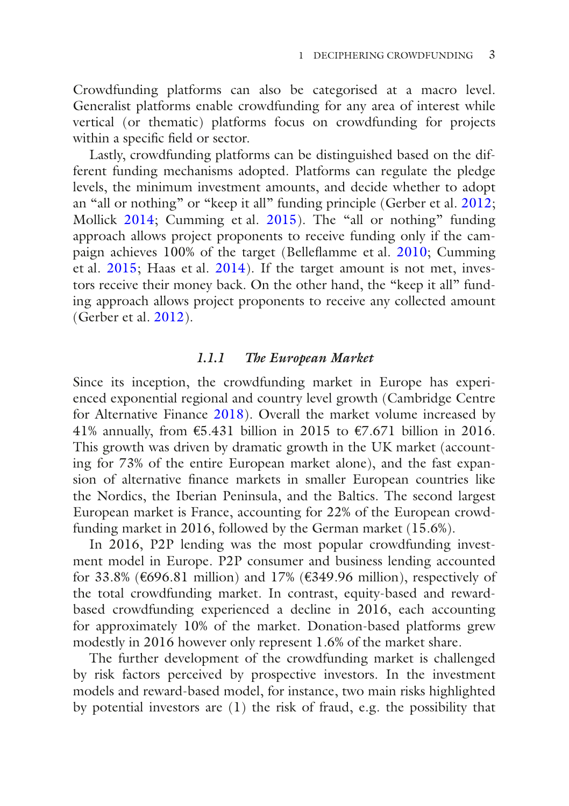Crowdfunding platforms can also be categorised at a macro level. Generalist platforms enable crowdfunding for any area of interest while vertical (or thematic) platforms focus on crowdfunding for projects within a specifc feld or sector.

Lastly, crowdfunding platforms can be distinguished based on the different funding mechanisms adopted. Platforms can regulate the pledge levels, the minimum investment amounts, and decide whether to adopt an "all or nothing" or "keep it all" funding principle (Gerber et al. [2012;](#page-12-3) Mollick [2014;](#page-12-0) Cumming et al. [2015](#page-11-1)). The "all or nothing" funding approach allows project proponents to receive funding only if the campaign achieves 100% of the target (Bellefamme et al. [2010](#page-11-2); Cumming et al. [2015](#page-11-1); Haas et al. [2014](#page-12-2)). If the target amount is not met, investors receive their money back. On the other hand, the "keep it all" funding approach allows project proponents to receive any collected amount (Gerber et al. [2012](#page-12-3)).

#### *1.1.1 The European Market*

Since its inception, the crowdfunding market in Europe has experienced exponential regional and country level growth (Cambridge Centre for Alternative Finance [2018](#page-11-3)). Overall the market volume increased by 41% annually, from  $\text{\textsterling}5.431$  billion in 2015 to  $\text{\textsterling}7.671$  billion in 2016. This growth was driven by dramatic growth in the UK market (accounting for 73% of the entire European market alone), and the fast expansion of alternative fnance markets in smaller European countries like the Nordics, the Iberian Peninsula, and the Baltics. The second largest European market is France, accounting for 22% of the European crowdfunding market in 2016, followed by the German market (15.6%).

In 2016, P2P lending was the most popular crowdfunding investment model in Europe. P2P consumer and business lending accounted for 33.8% ( $696.81$  million) and 17% ( $6349.96$  million), respectively of the total crowdfunding market. In contrast, equity-based and rewardbased crowdfunding experienced a decline in 2016, each accounting for approximately 10% of the market. Donation-based platforms grew modestly in 2016 however only represent 1.6% of the market share.

The further development of the crowdfunding market is challenged by risk factors perceived by prospective investors. In the investment models and reward-based model, for instance, two main risks highlighted by potential investors are (1) the risk of fraud, e.g. the possibility that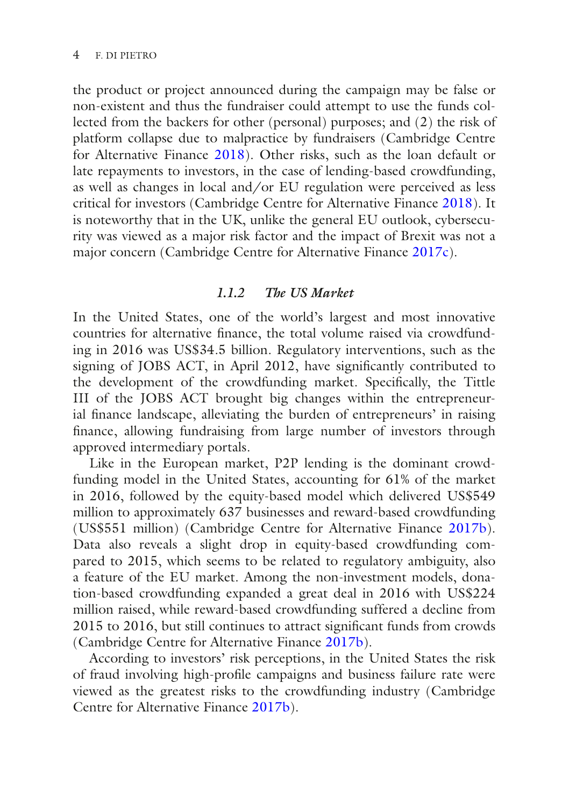the product or project announced during the campaign may be false or non-existent and thus the fundraiser could attempt to use the funds collected from the backers for other (personal) purposes; and (2) the risk of platform collapse due to malpractice by fundraisers (Cambridge Centre for Alternative Finance [2018\)](#page-11-3). Other risks, such as the loan default or late repayments to investors, in the case of lending-based crowdfunding, as well as changes in local and/or EU regulation were perceived as less critical for investors (Cambridge Centre for Alternative Finance [2018\)](#page-11-3). It is noteworthy that in the UK, unlike the general EU outlook, cybersecurity was viewed as a major risk factor and the impact of Brexit was not a major concern (Cambridge Centre for Alternative Finance [2017c](#page-11-4)).

## *1.1.2 The US Market*

In the United States, one of the world's largest and most innovative countries for alternative fnance, the total volume raised via crowdfunding in 2016 was US\$34.5 billion. Regulatory interventions, such as the signing of JOBS ACT, in April 2012, have signifcantly contributed to the development of the crowdfunding market. Specifcally, the Tittle III of the JOBS ACT brought big changes within the entrepreneurial fnance landscape, alleviating the burden of entrepreneurs' in raising fnance, allowing fundraising from large number of investors through approved intermediary portals.

Like in the European market, P2P lending is the dominant crowdfunding model in the United States, accounting for 61% of the market in 2016, followed by the equity-based model which delivered US\$549 million to approximately 637 businesses and reward-based crowdfunding (US\$551 million) (Cambridge Centre for Alternative Finance [2017b](#page-11-5)). Data also reveals a slight drop in equity-based crowdfunding compared to 2015, which seems to be related to regulatory ambiguity, also a feature of the EU market. Among the non-investment models, donation-based crowdfunding expanded a great deal in 2016 with US\$224 million raised, while reward-based crowdfunding suffered a decline from 2015 to 2016, but still continues to attract signifcant funds from crowds (Cambridge Centre for Alternative Finance [2017b](#page-11-5)).

According to investors' risk perceptions, in the United States the risk of fraud involving high-profle campaigns and business failure rate were viewed as the greatest risks to the crowdfunding industry (Cambridge Centre for Alternative Finance [2017b\)](#page-11-5).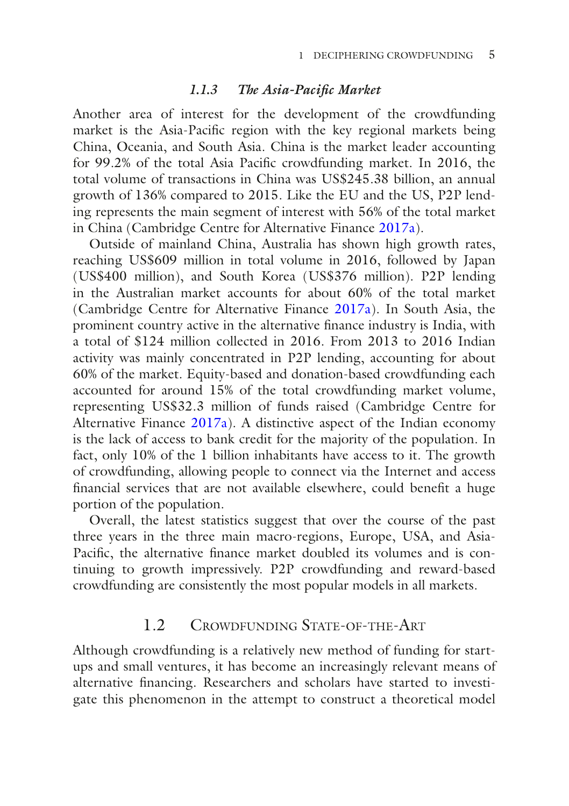#### *1.1.3 The Asia-Pacifc Market*

Another area of interest for the development of the crowdfunding market is the Asia-Pacifc region with the key regional markets being China, Oceania, and South Asia. China is the market leader accounting for 99.2% of the total Asia Pacifc crowdfunding market. In 2016, the total volume of transactions in China was US\$245.38 billion, an annual growth of 136% compared to 2015. Like the EU and the US, P2P lending represents the main segment of interest with 56% of the total market in China (Cambridge Centre for Alternative Finance [2017a](#page-11-6)).

Outside of mainland China, Australia has shown high growth rates, reaching US\$609 million in total volume in 2016, followed by Japan (US\$400 million), and South Korea (US\$376 million). P2P lending in the Australian market accounts for about 60% of the total market (Cambridge Centre for Alternative Finance [2017a\)](#page-11-6). In South Asia, the prominent country active in the alternative fnance industry is India, with a total of \$124 million collected in 2016. From 2013 to 2016 Indian activity was mainly concentrated in P2P lending, accounting for about 60% of the market. Equity-based and donation-based crowdfunding each accounted for around 15% of the total crowdfunding market volume, representing US\$32.3 million of funds raised (Cambridge Centre for Alternative Finance [2017a\)](#page-11-6). A distinctive aspect of the Indian economy is the lack of access to bank credit for the majority of the population. In fact, only 10% of the 1 billion inhabitants have access to it. The growth of crowdfunding, allowing people to connect via the Internet and access fnancial services that are not available elsewhere, could beneft a huge portion of the population.

Overall, the latest statistics suggest that over the course of the past three years in the three main macro-regions, Europe, USA, and Asia-Pacifc, the alternative fnance market doubled its volumes and is continuing to growth impressively. P2P crowdfunding and reward-based crowdfunding are consistently the most popular models in all markets.

## 1.2 CROWDFUNDING STATE-OF-THE-ART

Although crowdfunding is a relatively new method of funding for startups and small ventures, it has become an increasingly relevant means of alternative fnancing. Researchers and scholars have started to investigate this phenomenon in the attempt to construct a theoretical model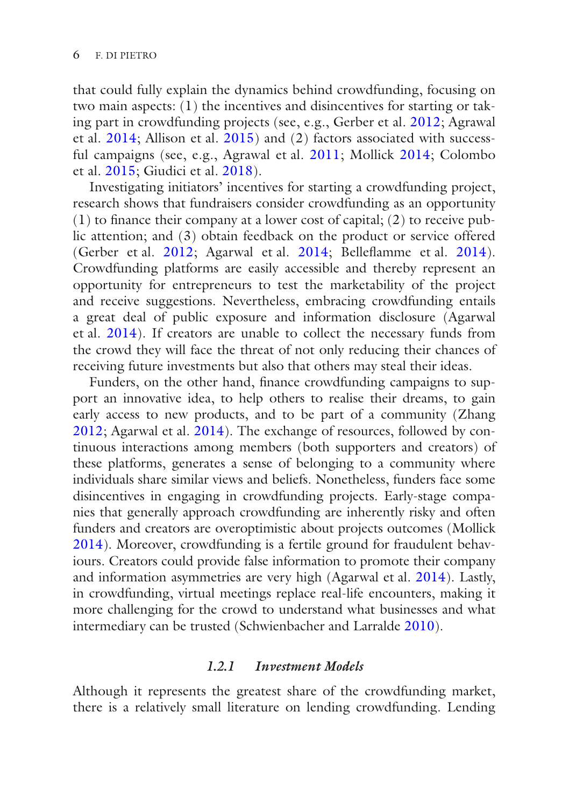that could fully explain the dynamics behind crowdfunding, focusing on two main aspects: (1) the incentives and disincentives for starting or taking part in crowdfunding projects (see, e.g., Gerber et al. [2012](#page-12-3); Agrawal et al. [2014;](#page-10-0) Allison et al. [2015\)](#page-10-1) and (2) factors associated with successful campaigns (see, e.g., Agrawal et al. [2011](#page-10-2); Mollick [2014;](#page-12-0) Colombo et al. [2015](#page-11-7); Giudici et al. [2018\)](#page-12-4).

Investigating initiators' incentives for starting a crowdfunding project, research shows that fundraisers consider crowdfunding as an opportunity (1) to finance their company at a lower cost of capital;  $(2)$  to receive public attention; and (3) obtain feedback on the product or service offered (Gerber et al. [2012;](#page-12-3) Agarwal et al. [2014](#page-10-0); Bellefamme et al. [2014](#page-11-0)). Crowdfunding platforms are easily accessible and thereby represent an opportunity for entrepreneurs to test the marketability of the project and receive suggestions. Nevertheless, embracing crowdfunding entails a great deal of public exposure and information disclosure (Agarwal et al. [2014](#page-10-0)). If creators are unable to collect the necessary funds from the crowd they will face the threat of not only reducing their chances of receiving future investments but also that others may steal their ideas.

Funders, on the other hand, fnance crowdfunding campaigns to support an innovative idea, to help others to realise their dreams, to gain early access to new products, and to be part of a community (Zhang [2012](#page-13-0); Agarwal et al. [2014](#page-10-0)). The exchange of resources, followed by continuous interactions among members (both supporters and creators) of these platforms, generates a sense of belonging to a community where individuals share similar views and beliefs. Nonetheless, funders face some disincentives in engaging in crowdfunding projects. Early-stage companies that generally approach crowdfunding are inherently risky and often funders and creators are overoptimistic about projects outcomes (Mollick [2014](#page-12-0)). Moreover, crowdfunding is a fertile ground for fraudulent behaviours. Creators could provide false information to promote their company and information asymmetries are very high (Agarwal et al. [2014\)](#page-10-0). Lastly, in crowdfunding, virtual meetings replace real-life encounters, making it more challenging for the crowd to understand what businesses and what intermediary can be trusted (Schwienbacher and Larralde [2010\)](#page-13-1).

#### *1.2.1 Investment Models*

Although it represents the greatest share of the crowdfunding market, there is a relatively small literature on lending crowdfunding. Lending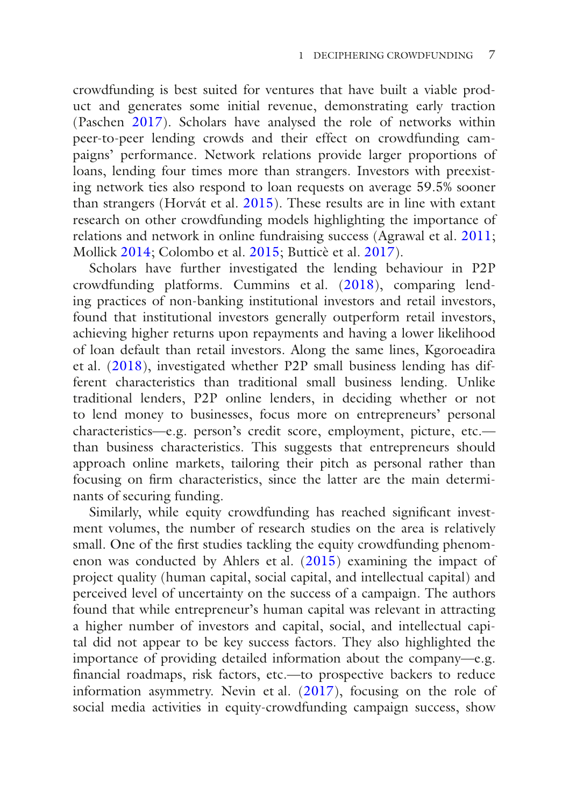crowdfunding is best suited for ventures that have built a viable product and generates some initial revenue, demonstrating early traction (Paschen [2017\)](#page-13-2). Scholars have analysed the role of networks within peer-to-peer lending crowds and their effect on crowdfunding campaigns' performance. Network relations provide larger proportions of loans, lending four times more than strangers. Investors with preexisting network ties also respond to loan requests on average 59.5% sooner than strangers (Horvát et al. [2015\)](#page-12-5). These results are in line with extant research on other crowdfunding models highlighting the importance of relations and network in online fundraising success (Agrawal et al. [2011;](#page-10-2) Mollick [2014](#page-12-0); Colombo et al. [2015](#page-11-7); Butticè et al. [2017](#page-11-8)).

Scholars have further investigated the lending behaviour in P2P crowdfunding platforms. Cummins et al. ([2018](#page-11-9)), comparing lending practices of non-banking institutional investors and retail investors, found that institutional investors generally outperform retail investors, achieving higher returns upon repayments and having a lower likelihood of loan default than retail investors. Along the same lines, Kgoroeadira et al. ([2018\)](#page-12-6), investigated whether P2P small business lending has different characteristics than traditional small business lending. Unlike traditional lenders, P2P online lenders, in deciding whether or not to lend money to businesses, focus more on entrepreneurs' personal characteristics—e.g. person's credit score, employment, picture, etc. than business characteristics. This suggests that entrepreneurs should approach online markets, tailoring their pitch as personal rather than focusing on frm characteristics, since the latter are the main determinants of securing funding.

Similarly, while equity crowdfunding has reached signifcant investment volumes, the number of research studies on the area is relatively small. One of the frst studies tackling the equity crowdfunding phenomenon was conducted by Ahlers et al. [\(2015\)](#page-10-3) examining the impact of project quality (human capital, social capital, and intellectual capital) and perceived level of uncertainty on the success of a campaign. The authors found that while entrepreneur's human capital was relevant in attracting a higher number of investors and capital, social, and intellectual capital did not appear to be key success factors. They also highlighted the importance of providing detailed information about the company—e.g. fnancial roadmaps, risk factors, etc.—to prospective backers to reduce information asymmetry. Nevin et al. ([2017](#page-12-7)), focusing on the role of social media activities in equity-crowdfunding campaign success, show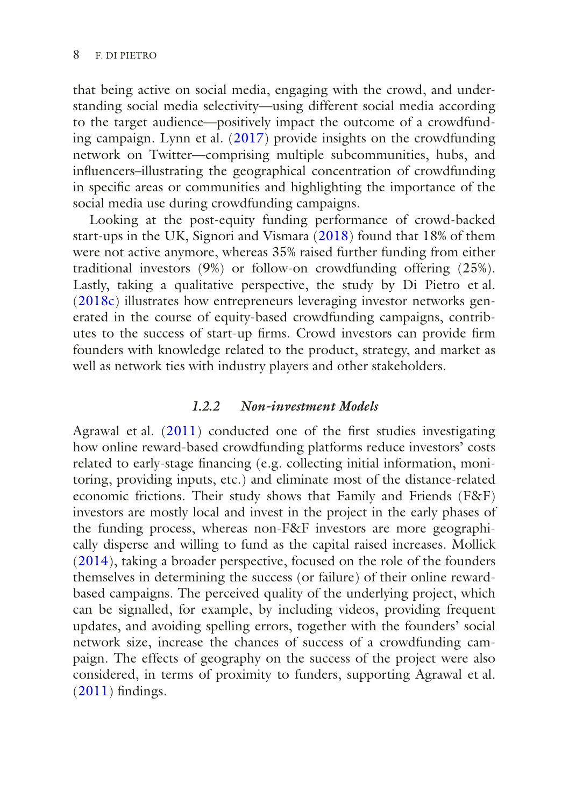that being active on social media, engaging with the crowd, and understanding social media selectivity—using different social media according to the target audience—positively impact the outcome of a crowdfunding campaign. Lynn et al. [\(2017\)](#page-12-8) provide insights on the crowdfunding network on Twitter—comprising multiple subcommunities, hubs, and infuencers–illustrating the geographical concentration of crowdfunding in specifc areas or communities and highlighting the importance of the social media use during crowdfunding campaigns.

Looking at the post-equity funding performance of crowd-backed start-ups in the UK, Signori and Vismara ([2018](#page-13-3)) found that 18% of them were not active anymore, whereas 35% raised further funding from either traditional investors (9%) or follow-on crowdfunding offering (25%). Lastly, taking a qualitative perspective, the study by Di Pietro et al. ([2018c](#page-11-10)) illustrates how entrepreneurs leveraging investor networks generated in the course of equity-based crowdfunding campaigns, contributes to the success of start-up frms. Crowd investors can provide frm founders with knowledge related to the product, strategy, and market as well as network ties with industry players and other stakeholders.

### *1.2.2 Non-investment Models*

Agrawal et al. ([2011](#page-10-2)) conducted one of the frst studies investigating how online reward-based crowdfunding platforms reduce investors' costs related to early-stage fnancing (e.g. collecting initial information, monitoring, providing inputs, etc.) and eliminate most of the distance-related economic frictions. Their study shows that Family and Friends (F&F) investors are mostly local and invest in the project in the early phases of the funding process, whereas non-F&F investors are more geographically disperse and willing to fund as the capital raised increases. Mollick ([2014](#page-12-0)), taking a broader perspective, focused on the role of the founders themselves in determining the success (or failure) of their online rewardbased campaigns. The perceived quality of the underlying project, which can be signalled, for example, by including videos, providing frequent updates, and avoiding spelling errors, together with the founders' social network size, increase the chances of success of a crowdfunding campaign. The effects of geography on the success of the project were also considered, in terms of proximity to funders, supporting Agrawal et al.  $(2011)$  $(2011)$  $(2011)$  findings.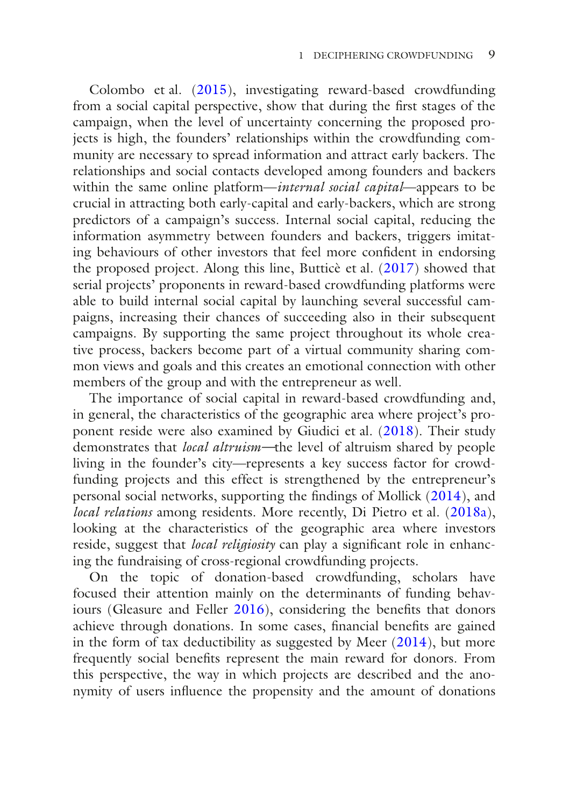Colombo et al. [\(2015\)](#page-11-7), investigating reward-based crowdfunding from a social capital perspective, show that during the frst stages of the campaign, when the level of uncertainty concerning the proposed projects is high, the founders' relationships within the crowdfunding community are necessary to spread information and attract early backers. The relationships and social contacts developed among founders and backers within the same online platform—*internal social capital*—appears to be crucial in attracting both early-capital and early-backers, which are strong predictors of a campaign's success. Internal social capital, reducing the information asymmetry between founders and backers, triggers imitating behaviours of other investors that feel more confdent in endorsing the proposed project. Along this line, Butticè et al. [\(2017\)](#page-11-8) showed that serial projects' proponents in reward-based crowdfunding platforms were able to build internal social capital by launching several successful campaigns, increasing their chances of succeeding also in their subsequent campaigns. By supporting the same project throughout its whole creative process, backers become part of a virtual community sharing common views and goals and this creates an emotional connection with other members of the group and with the entrepreneur as well.

The importance of social capital in reward-based crowdfunding and, in general, the characteristics of the geographic area where project's proponent reside were also examined by Giudici et al. ([2018](#page-12-4)). Their study demonstrates that *local altruism—*the level of altruism shared by people living in the founder's city—represents a key success factor for crowdfunding projects and this effect is strengthened by the entrepreneur's personal social networks, supporting the fndings of Mollick ([2014](#page-12-0)), and *local relations* among residents. More recently, Di Pietro et al. [\(2018a](#page-11-11)), looking at the characteristics of the geographic area where investors reside, suggest that *local religiosity* can play a signifcant role in enhancing the fundraising of cross-regional crowdfunding projects.

On the topic of donation-based crowdfunding, scholars have focused their attention mainly on the determinants of funding behaviours (Gleasure and Feller [2016\)](#page-12-9), considering the benefts that donors achieve through donations. In some cases, fnancial benefts are gained in the form of tax deductibility as suggested by Meer ([2014](#page-12-10)), but more frequently social benefts represent the main reward for donors. From this perspective, the way in which projects are described and the anonymity of users infuence the propensity and the amount of donations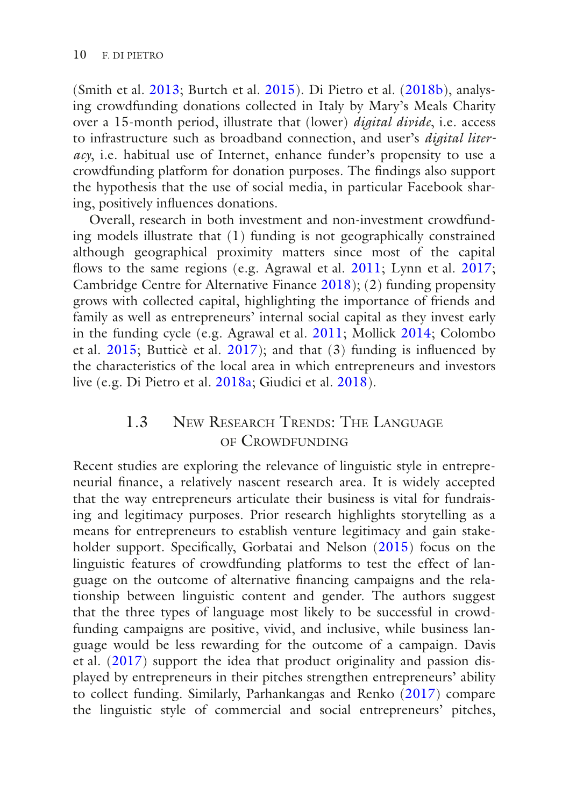(Smith et al. [2013;](#page-13-4) Burtch et al. [2015\)](#page-11-12). Di Pietro et al. ([2018b\)](#page-11-13), analysing crowdfunding donations collected in Italy by Mary's Meals Charity over a 15-month period, illustrate that (lower) *digital divide*, i.e. access to infrastructure such as broadband connection, and user's *digital literacy*, i.e. habitual use of Internet, enhance funder's propensity to use a crowdfunding platform for donation purposes. The fndings also support the hypothesis that the use of social media, in particular Facebook sharing, positively infuences donations.

Overall, research in both investment and non-investment crowdfunding models illustrate that (1) funding is not geographically constrained although geographical proximity matters since most of the capital flows to the same regions (e.g. Agrawal et al. [2011](#page-10-2); Lynn et al. [2017;](#page-12-8) Cambridge Centre for Alternative Finance [2018](#page-11-3)); (2) funding propensity grows with collected capital, highlighting the importance of friends and family as well as entrepreneurs' internal social capital as they invest early in the funding cycle (e.g. Agrawal et al. [2011](#page-10-2); Mollick [2014](#page-12-0); Colombo et al. [2015](#page-11-7); Butticè et al. [2017](#page-11-8)); and that (3) funding is infuenced by the characteristics of the local area in which entrepreneurs and investors live (e.g. Di Pietro et al. [2018a;](#page-11-11) Giudici et al. [2018](#page-12-4)).

# 1.3 New RESEARCH TRENDS: THE LANGUAGE of Crowdfunding

Recent studies are exploring the relevance of linguistic style in entrepreneurial fnance, a relatively nascent research area. It is widely accepted that the way entrepreneurs articulate their business is vital for fundraising and legitimacy purposes. Prior research highlights storytelling as a means for entrepreneurs to establish venture legitimacy and gain stake-holder support. Specifically, Gorbatai and Nelson [\(2015](#page-12-11)) focus on the linguistic features of crowdfunding platforms to test the effect of language on the outcome of alternative fnancing campaigns and the relationship between linguistic content and gender. The authors suggest that the three types of language most likely to be successful in crowdfunding campaigns are positive, vivid, and inclusive, while business language would be less rewarding for the outcome of a campaign. Davis et al. [\(2017\)](#page-11-14) support the idea that product originality and passion displayed by entrepreneurs in their pitches strengthen entrepreneurs' ability to collect funding. Similarly, Parhankangas and Renko ([2017](#page-12-12)) compare the linguistic style of commercial and social entrepreneurs' pitches,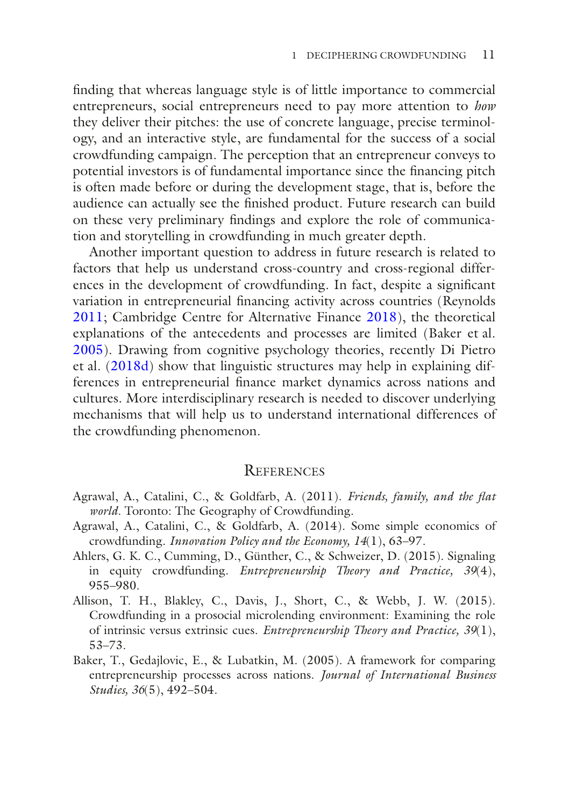fnding that whereas language style is of little importance to commercial entrepreneurs, social entrepreneurs need to pay more attention to *how* they deliver their pitches: the use of concrete language, precise terminology, and an interactive style, are fundamental for the success of a social crowdfunding campaign. The perception that an entrepreneur conveys to potential investors is of fundamental importance since the fnancing pitch is often made before or during the development stage, that is, before the audience can actually see the fnished product. Future research can build on these very preliminary fndings and explore the role of communication and storytelling in crowdfunding in much greater depth.

Another important question to address in future research is related to factors that help us understand cross-country and cross-regional differences in the development of crowdfunding. In fact, despite a signifcant variation in entrepreneurial fnancing activity across countries (Reynolds [2011](#page-13-5); Cambridge Centre for Alternative Finance [2018\)](#page-11-3), the theoretical explanations of the antecedents and processes are limited (Baker et al. [2005](#page-10-4)). Drawing from cognitive psychology theories, recently Di Pietro et al. ([2018d\)](#page-12-13) show that linguistic structures may help in explaining differences in entrepreneurial fnance market dynamics across nations and cultures. More interdisciplinary research is needed to discover underlying mechanisms that will help us to understand international differences of the crowdfunding phenomenon.

#### **REFERENCES**

- <span id="page-10-2"></span>Agrawal, A., Catalini, C., & Goldfarb, A. (2011). *Friends, family, and the fat world*. Toronto: The Geography of Crowdfunding.
- <span id="page-10-0"></span>Agrawal, A., Catalini, C., & Goldfarb, A. (2014). Some simple economics of crowdfunding. *Innovation Policy and the Economy, 14*(1), 63–97.
- <span id="page-10-3"></span>Ahlers, G. K. C., Cumming, D., Günther, C., & Schweizer, D. (2015). Signaling in equity crowdfunding. *Entrepreneurship Theory and Practice, 39*(4), 955–980.
- <span id="page-10-1"></span>Allison, T. H., Blakley, C., Davis, J., Short, C., & Webb, J. W. (2015). Crowdfunding in a prosocial microlending environment: Examining the role of intrinsic versus extrinsic cues. *Entrepreneurship Theory and Practice, 39*(1), 53–73.
- <span id="page-10-4"></span>Baker, T., Gedajlovic, E., & Lubatkin, M. (2005). A framework for comparing entrepreneurship processes across nations. *Journal of International Business Studies, 36*(5), 492–504.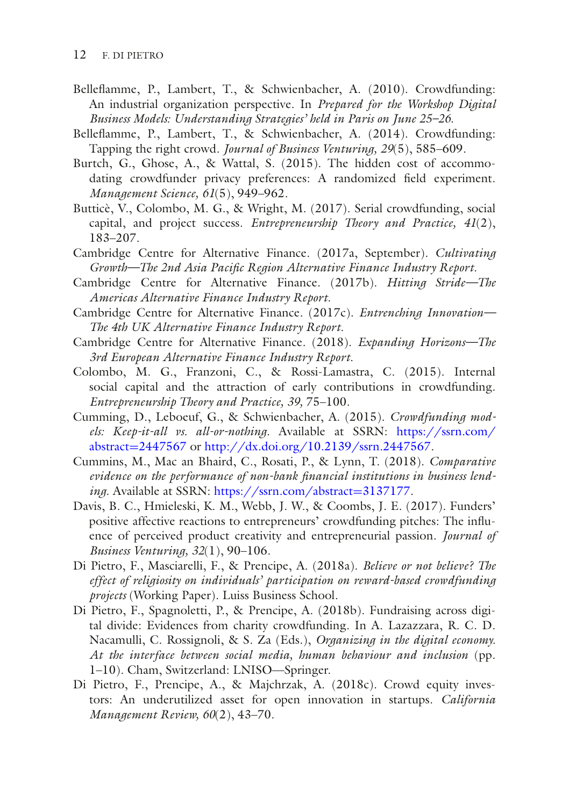- <span id="page-11-2"></span>Bellefamme, P., Lambert, T., & Schwienbacher, A. (2010). Crowdfunding: An industrial organization perspective. In *Prepared for the Workshop Digital Business Models: Understanding Strategies' held in Paris on June 25–26*.
- <span id="page-11-0"></span>Bellefamme, P., Lambert, T., & Schwienbacher, A. (2014). Crowdfunding: Tapping the right crowd. *Journal of Business Venturing, 29*(5), 585–609.
- <span id="page-11-12"></span>Burtch, G., Ghose, A., & Wattal, S. (2015). The hidden cost of accommodating crowdfunder privacy preferences: A randomized feld experiment. *Management Science, 61*(5), 949–962.
- <span id="page-11-8"></span>Butticè, V., Colombo, M. G., & Wright, M. (2017). Serial crowdfunding, social capital, and project success. *Entrepreneurship Theory and Practice, 41*(2), 183–207.
- <span id="page-11-6"></span>Cambridge Centre for Alternative Finance. (2017a, September). *Cultivating Growth—The 2nd Asia Pacifc Region Alternative Finance Industry Report*.
- <span id="page-11-5"></span>Cambridge Centre for Alternative Finance. (2017b). *Hitting Stride—The Americas Alternative Finance Industry Report*.
- <span id="page-11-4"></span>Cambridge Centre for Alternative Finance. (2017c). *Entrenching Innovation— The 4th UK Alternative Finance Industry Report*.
- <span id="page-11-3"></span>Cambridge Centre for Alternative Finance. (2018). *Expanding Horizons—The 3rd European Alternative Finance Industry Report*.
- <span id="page-11-7"></span>Colombo, M. G., Franzoni, C., & Rossi-Lamastra, C. (2015). Internal social capital and the attraction of early contributions in crowdfunding. *Entrepreneurship Theory and Practice, 39,* 75–100.
- <span id="page-11-1"></span>Cumming, D., Leboeuf, G., & Schwienbacher, A. (2015). *Crowdfunding models: Keep-it-all vs. all-or-nothing.* Available at SSRN: [https://ssrn.com/](https://ssrn.com/abstract=2447567) abstract=2447567 or [http://dx.doi.org/10.2139/ssrn.2447567.](http://dx.doi.org/10.2139/ssrn.2447567)
- <span id="page-11-9"></span>Cu[mmins, M., Mac an](https://ssrn.com/abstract=2447567) Bhaird, C., Rosati, P., & Lynn, T. (2018). *Comparative evidence on the performance of non-bank fnancial institutions in business lending*. Available at SSRN: [https://ssrn.com/abstract](https://ssrn.com/abstract=3137177)=3137177.
- <span id="page-11-14"></span>Davis, B. C., Hmieleski, K. M., Webb, J. W., & Coombs, J. E. (2017). Funders' positive affective reactions to entrepreneurs' crowdfunding pitches: The infuence of perceived product creativity and entrepreneurial passion. *Journal of Business Venturing, 32*(1), 90–106.
- <span id="page-11-11"></span>Di Pietro, F., Masciarelli, F., & Prencipe, A. (2018a). *Believe or not believe? The effect of religiosity on individuals' participation on reward-based crowdfunding projects* (Working Paper). Luiss Business School.
- <span id="page-11-13"></span>Di Pietro, F., Spagnoletti, P., & Prencipe, A. (2018b). Fundraising across digital divide: Evidences from charity crowdfunding. In A. Lazazzara, R. C. D. Nacamulli, C. Rossignoli, & S. Za (Eds.), *Organizing in the digital economy. At the interface between social media, human behaviour and inclusion* (pp. 1–10). Cham, Switzerland: LNISO—Springer.
- <span id="page-11-10"></span>Di Pietro, F., Prencipe, A., & Majchrzak, A. (2018c). Crowd equity investors: An underutilized asset for open innovation in startups. *California Management Review, 60*(2), 43–70.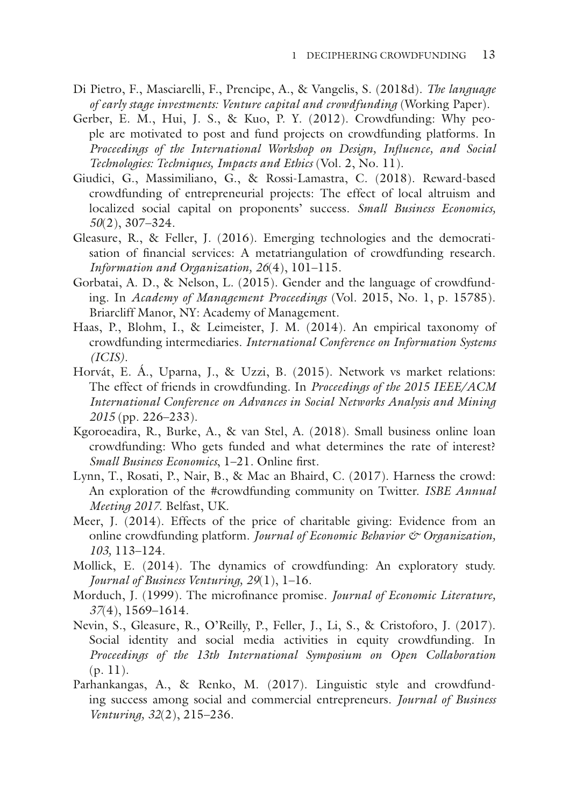- <span id="page-12-13"></span>Di Pietro, F., Masciarelli, F., Prencipe, A., & Vangelis, S. (2018d). *The language of early stage investments: Venture capital and crowdfunding* (Working Paper).
- <span id="page-12-3"></span>Gerber, E. M., Hui, J. S., & Kuo, P. Y. (2012). Crowdfunding: Why people are motivated to post and fund projects on crowdfunding platforms. In *Proceedings of the International Workshop on Design, Infuence, and Social Technologies: Techniques, Impacts and Ethics* (Vol. 2, No. 11).
- <span id="page-12-4"></span>Giudici, G., Massimiliano, G., & Rossi-Lamastra, C. (2018). Reward-based crowdfunding of entrepreneurial projects: The effect of local altruism and localized social capital on proponents' success. *Small Business Economics, 50*(2), 307–324.
- <span id="page-12-9"></span>Gleasure, R., & Feller, J. (2016). Emerging technologies and the democratisation of fnancial services: A metatriangulation of crowdfunding research. *Information and Organization, 26*(4), 101–115.
- <span id="page-12-11"></span>Gorbatai, A. D., & Nelson, L. (2015). Gender and the language of crowdfunding. In *Academy of Management Proceedings* (Vol. 2015, No. 1, p. 15785). Briarcliff Manor, NY: Academy of Management.
- <span id="page-12-2"></span>Haas, P., Blohm, I., & Leimeister, J. M. (2014). An empirical taxonomy of crowdfunding intermediaries. *International Conference on Information Systems (ICIS)*.
- <span id="page-12-5"></span>Horvát, E. Á., Uparna, J., & Uzzi, B. (2015). Network vs market relations: The effect of friends in crowdfunding. In *Proceedings of the 2015 IEEE/ACM International Conference on Advances in Social Networks Analysis and Mining 2015* (pp. 226–233).
- <span id="page-12-6"></span>Kgoroeadira, R., Burke, A., & van Stel, A. (2018). Small business online loan crowdfunding: Who gets funded and what determines the rate of interest? *Small Business Economics*, 1–21. Online frst.
- <span id="page-12-8"></span>Lynn, T., Rosati, P., Nair, B., & Mac an Bhaird, C. (2017). Harness the crowd: An exploration of the #crowdfunding community on Twitter. *ISBE Annual Meeting 2017*. Belfast, UK.
- <span id="page-12-10"></span>Meer, J. (2014). Effects of the price of charitable giving: Evidence from an online crowdfunding platform. *Journal of Economic Behavior & Organization, 103,* 113–124.
- <span id="page-12-0"></span>Mollick, E. (2014). The dynamics of crowdfunding: An exploratory study. *Journal of Business Venturing, 29*(1), 1–16.
- <span id="page-12-1"></span>Morduch, J. (1999). The microfnance promise. *Journal of Economic Literature, 37*(4), 1569–1614.
- <span id="page-12-7"></span>Nevin, S., Gleasure, R., O'Reilly, P., Feller, J., Li, S., & Cristoforo, J. (2017). Social identity and social media activities in equity crowdfunding. In *Proceedings of the 13th International Symposium on Open Collaboration* (p. 11).
- <span id="page-12-12"></span>Parhankangas, A., & Renko, M. (2017). Linguistic style and crowdfunding success among social and commercial entrepreneurs. *Journal of Business Venturing, 32*(2), 215–236.